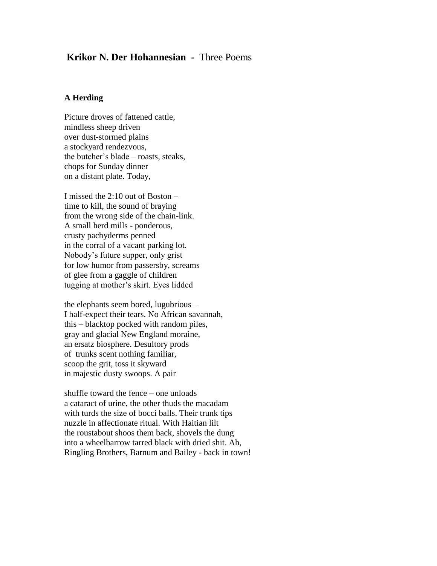# **Krikor N. Der Hohannesian -** Three Poems

#### **A Herding**

Picture droves of fattened cattle, mindless sheep driven over dust-stormed plains a stockyard rendezvous, the butcher's blade – roasts, steaks, chops for Sunday dinner on a distant plate. Today,

I missed the 2:10 out of Boston – time to kill, the sound of braying from the wrong side of the chain-link. A small herd mills - ponderous, crusty pachyderms penned in the corral of a vacant parking lot. Nobody's future supper, only grist for low humor from passersby, screams of glee from a gaggle of children tugging at mother's skirt. Eyes lidded

the elephants seem bored, lugubrious – I half-expect their tears. No African savannah, this – blacktop pocked with random piles, gray and glacial New England moraine, an ersatz biosphere. Desultory prods of trunks scent nothing familiar, scoop the grit, toss it skyward in majestic dusty swoops. A pair

shuffle toward the fence – one unloads a cataract of urine, the other thuds the macadam with turds the size of bocci balls. Their trunk tips nuzzle in affectionate ritual. With Haitian lilt the roustabout shoos them back, shovels the dung into a wheelbarrow tarred black with dried shit. Ah, Ringling Brothers, Barnum and Bailey - back in town!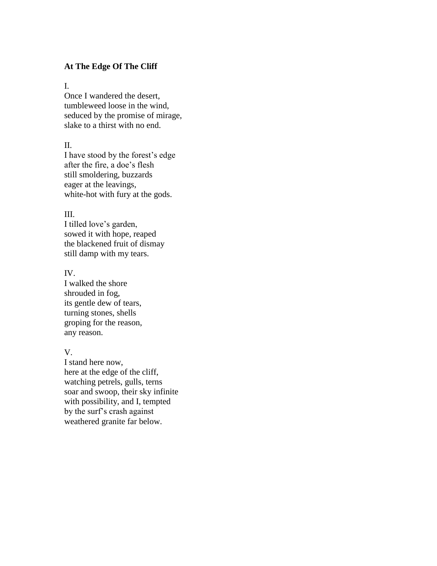#### **At The Edge Of The Cliff**

### I.

Once I wandered the desert, tumbleweed loose in the wind, seduced by the promise of mirage, slake to a thirst with no end.

### II.

I have stood by the forest's edge after the fire, a doe's flesh still smoldering, buzzards eager at the leavings, white-hot with fury at the gods.

### III.

I tilled love's garden, sowed it with hope, reaped the blackened fruit of dismay still damp with my tears.

## IV.

I walked the shore shrouded in fog, its gentle dew of tears, turning stones, shells groping for the reason, any reason.

# V.

I stand here now, here at the edge of the cliff, watching petrels, gulls, terns soar and swoop, their sky infinite with possibility, and I, tempted by the surf's crash against weathered granite far below.